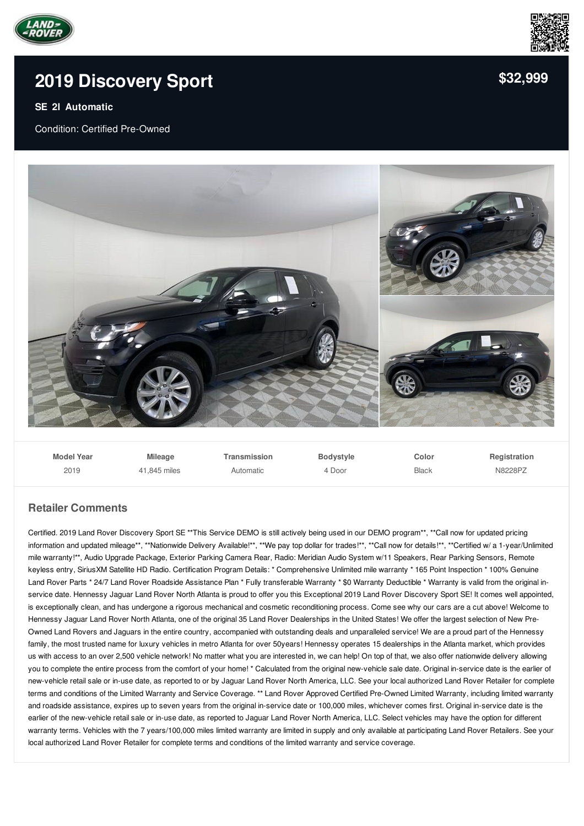



## **2019 [Discovery](/used-certified/pdf/) Sport**

## **SE 2l Automatic**

Condition: Certified Pre-Owned



**Model Year** 2019 **Mileage** 41,845 miles **Transmission** Automatic **Bodystyle** 4 Door **Color** Black **Registration** N8228PZ

## **Retailer Comments**

Certified. 2019 Land Rover Discovery Sport SE \*\*This Service DEMO is still actively being used in our DEMO program\*\*, \*\*Call now for updated pricing information and updated mileage\*\*, \*\*Nationwide Delivery Available!\*\*, \*\*We pay top dollar for trades!\*\*, \*\*Call now for details!\*\*, \*\*Certified w/ a 1-year/Unlimited mile warranty!\*\*, Audio Upgrade Package, Exterior Parking Camera Rear, Radio: Meridian Audio System w/11 Speakers, Rear Parking Sensors, Remote keyless entry, SiriusXM Satellite HD Radio. Certification Program Details: \* Comprehensive Unlimited mile warranty \* 165 Point Inspection \* 100% Genuine Land Rover Parts \* 24/7 Land Rover Roadside Assistance Plan \* Fully transferable Warranty \* \$0 Warranty Deductible \* Warranty is valid from the original inservice date. Hennessy Jaguar Land Rover North Atlanta is proud to offer you this Exceptional 2019 Land Rover Discovery Sport SE! It comes well appointed, is exceptionally clean, and has undergone a rigorous mechanical and cosmetic reconditioning process. Come see why our cars are a cut above! Welcome to Hennessy Jaguar Land Rover North Atlanta, one of the original 35 Land Rover Dealerships in the United States! We offer the largest selection of New Pre-Owned Land Rovers and Jaguars in the entire country, accompanied with outstanding deals and unparalleled service! We are a proud part of the Hennessy family, the most trusted name for luxury vehicles in metro Atlanta for over 50years! Hennessy operates 15 dealerships in the Atlanta market, which provides us with access to an over 2,500 vehicle network! No matter what you are interested in, we can help! On top of that, we also offer nationwide delivery allowing you to complete the entire process from the comfort of your home! \* Calculated from the original new-vehicle sale date. Original in-service date is the earlier of new-vehicle retail sale or in-use date, as reported to or by Jaguar Land Rover North America, LLC. See your local authorized Land Rover Retailer for complete terms and conditions of the Limited Warranty and Service Coverage. \*\* Land Rover Approved Certified Pre-Owned Limited Warranty, including limited warranty and roadside assistance, expires up to seven years from the original in-service date or 100,000 miles, whichever comes first. Original in-service date is the earlier of the new-vehicle retail sale or in-use date, as reported to Jaguar Land Rover North America, LLC. Select vehicles may have the option for different warranty terms. Vehicles with the 7 years/100,000 miles limited warranty are limited in supply and only available at participating Land Rover Retailers. See your local authorized Land Rover Retailer for complete terms and conditions of the limited warranty and service coverage.

**[\\$32,999](/used-certified/pdf/)**